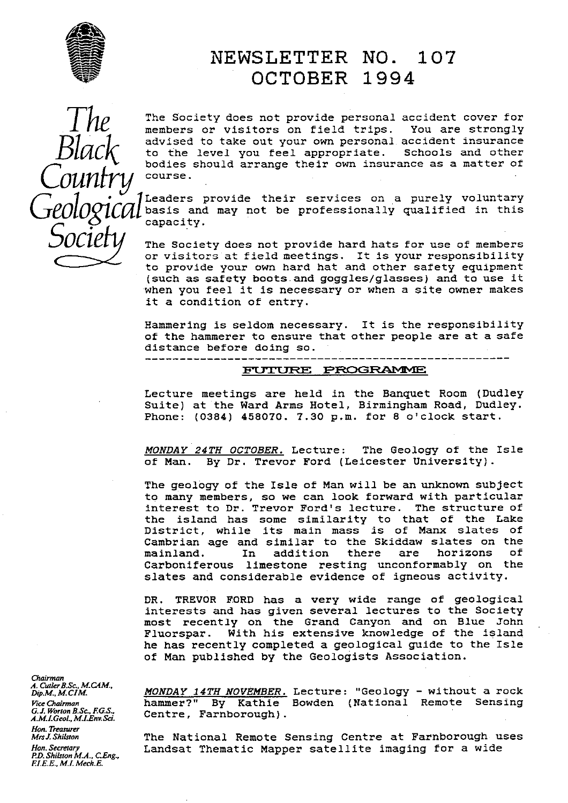

# NEWSLETTER NO. 107 OCTOBER 1994

The Society does not provide personal accident cover for members or visitors on field trips. You are strongly members or visitors on field trips. advised to take out your own personal accident insurance to the level you feel appropriate. Schools and other bodies should arrange their own insurance as a matter of course.

Leaders provide their services on a purely voluntary basis and may not be professionally qualified in this capacity.

The Society does not provide hard hats for use of members or visitors at field meetings. It is your responsibility to provide your own hard hat and other safety equipment (such as safety boots and goggles/glasses) and to use it when you feel it is necessary or when a site owner makes it a condition of entry.

Hammering is seldom necessary. It is the responsibility of the hammerer to ensure that other people are at a safe distance before doing so.

#### **FUTURE PROGRAMME**

Lecture meetings are held in the Banquet Room (Dudley Suite) at the Ward Arms Hotel, Birmingham Road, Dudley. Phone: (0384) 458070. 7.30 p.m. for 8 o'clock start.

MONDAY 24TH OCTOBER. Lecture: The Geology of the Isle of Man. By Dr. Trevor Ford (Leicester University).

The geology of the Isle of Man will be an unknown subject to many members, so we can look forward with particular interest to Dr. Trevor Ford's lecture. The structure of the island has some similarity to that of the Lake District, while its main mass is of Manx slates of Cambrian age and similar to the Skiddaw slates on the<br>mainland. In addition there are horizons of mainland. In addition Carboniferous limestone resting unconformably on the slates and considerable evidence of igneous activity.

DR. TREVOR FORD has a very wide range of geological interests and has given several lectures to the Society most recently on the Grand Canyon and on Blue John Fluorspar. With his extensive knowledge of the island he has recently completed a geological guide to the Isle of Man published by the Geologists Association.

*Chairman A. CutlerB.SG, M\_G[M., Hon. Treasurer P.D. Shilston M.A., CEng, FLE.E., M.L Mech.E.*

*Dip.M.,M.CIM MONDAY 14TH NOVEMBER.* Lecture: "Geology - without a rock *Vice Chairman* hammer?" By Kathie Bowden (National Remote Sensing *Vice Chairman* **hammer?"** By Kathie *G.J. Worton B.Sc., F.G.S.,* Centre, Farnborough).

> *MrsJ.Shilstan* The National Remote Sensing Centre at Farnborough uses Landsat Thematic Mapper satellite imaging for a wide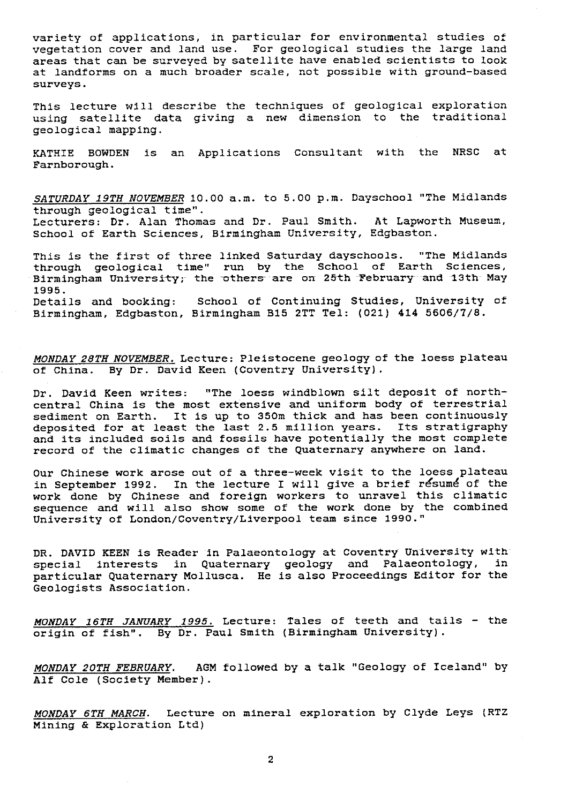variety of applications, in particular for environmental studies of vegetation cover and land use. For geological studies the large land areas that can be surveyed by satellite have enabled scientists to look at landforms on a much broader scale, not possible with ground-based surveys.

This lecture will describe the techniques of geological exploration using satellite data giving a new dimension to the traditional geological mapping.

KATHIE BOWDEN is an Applications Consultant with the NRSC at Farnborough.

SATURDAY 19TH NOVEMBER 10.00 a.m. to 5.00 p.m. Dayschool "The Midlands through geological time".

Lecturers: Dr. Alan Thomas and Dr. Paul Smith. At Lapworth Museum, School of Earth Sciences, Birmingham University, Edgbaston.

This is the first of three linked Saturday dayschools. "The Midlands through geological time" run by the School of Earth Sciences, Birmingham University; the others are on 25th February and 13th May 1995.<br>Details and booking:

School of Continuing Studies, University of Birmingham, Edgbaston, Birmingham B15 2TT Tel: (021) 414 5606/7/8.

MONDAY 28TH NOVEMBER. Lecture: Pleistocene geology of the Ioess plateau of China. By Dr. David Keen (Coventry University).

Dr. David Keen writes: "The loess windblown silt deposit of northcentral China is the most extensive and uniform body of terrestrial sediment on Earth. It is up to 350m thick and has been continuously deposited for at least the last 2.5 million years. Its stratigraphy and its included soils and fossils have potentially the most complete record of the climatic changes of the Quaternary anywhere on land.

Our Chinese work arose out of a three-week visit to the loess plateau in September 1992. In the lecture I will give a brief resume of the work done by Chinese and foreign workers to unravel this climatic sequence and will also show some of the work done by the combined University of London/Coventry/Liverpool team since 1990."

DR. DAVID KEEN is Reader in Palaeontology at Coventry University with special interests in Quaternary geology and Palaeontology, in particular Quaternary Mollusca. He is also Proceedings Editor for the Geologists Association.

*MONDAY 16TH JANUARY 1995.* Lecture: Tales of teeth and tails - the origin of fish". By Dr. Paul Smith (Birmingham University).

MONDAY 20TH FEBRUARY. AGM followed by a talk "Geology of Iceland" by Alf Cole (Society Member).

MONDAY 6TH MARCH. Lecture on mineral exploration by Clyde Leys (RTZ Mining & Exploration Ltd)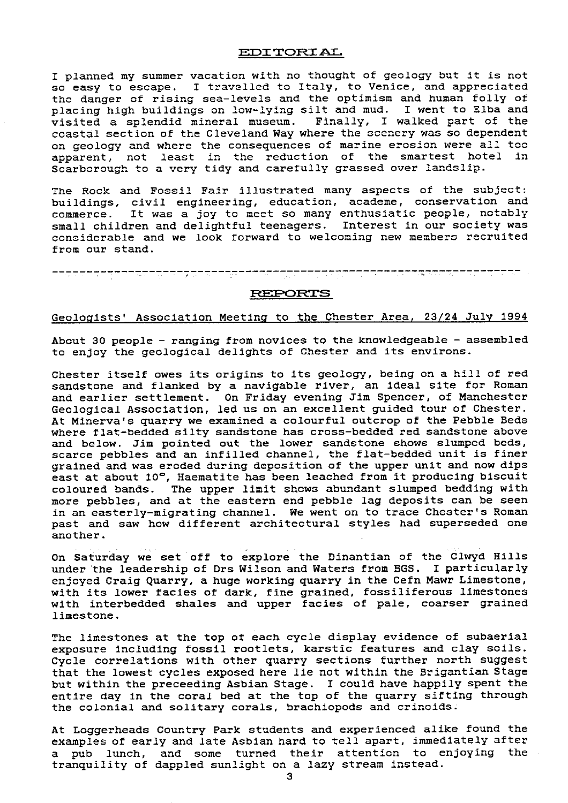#### **EDITORIAL**

I planned my summer vacation with no thought of geology but it is not so easy to escape. I travelled to Italy, to Venice, and appreciated the danger of rising sea-levels and the optimism and human folly of placing high buildings on low-lying silt and mud. I went to Elba and visited a splendid mineral museum. Finally, I walked part of the coastal section of the Cleveland Way where the scenery was so dependent an geology and where the consequences of marine erosion were all too apparent, not least in the reduction of the smartest hotel in Scarborough to a very tidy and carefully grassed over landslip.

The Rock and Fossil Fair illustrated many aspects of the subject: buildings, civil engineering, education, academe, conservation and commerce. It was a joy to meet so many enthusiatic people, notably small children and delightful teenagers. Interest in our society was considerable and we look forward to welcoming new members recruited from our stand.

#### **REPORTS**

#### Geologists' Association Meeting to the Chester Area, 23/24 July 1994

About 30 people - ranging from novices to the knowledgeable - assembled to enjoy the geological delights of Chester and its environs.

Chester itself owes its origins to its geology, being on a hill of red sandstone and flanked by a navigable river, an ideal site for Roman and earlier settlement. On Friday evening Jim Spencer, of Manchester Geological Association, led us on an excellent guided tour of Chester. At Minerva's quarry we examined a colourful outcrop of the Pebble Beds where flat-bedded silty sandstone has cross-bedded red sandstone above and below. Jim pointed out the lower sandstone shows slumped beds, scarce pebbles and an infilled channel, the flat-bedded unit is finer grained and was eroded during deposition of the upper unit and now dips east at about 10°, Haematite has been leached from it producing biscuit coloured bands. The upper limit shows abundant slumped bedding with more pebbles, and at the eastern end pebble lag deposits can be seen in an easterly-migrating channel. We went on to trace Chester's Roman past and saw how different architectural styles had superseded one another.

On Saturday we set off to explore the Dinantian of the Clwyd Hills under the leadership of Drs Wilson and Waters from BGS. I particularly enjoyed Craig Quarry, a huge working quarry in the Cefn Mawr Limestone, with its lower facies of dark, fine grained, fossiliferous limestones with interbedded shales and upper facies of pale, coarser grained limestone.

The limestones at the top of each cycle display evidence of subaerial exposure including fossil rootlets, karstic features and clay soils. Cycle correlations with other quarry sections further north suggest that the lowest cycles exposed here lie not within the Brigantian Stage but within the preceeding Asbian Stage. I could have happily spent the entire day in the coral bed at the top of the quarry sifting through the colonial and solitary corals, brachiopods and crinoids.

At Loggerheads Country Park students and experienced alike found the examples of early and late Asbian hard to tell apart, immediately after a pub lunch, and some turned their attention to enjoying the tranquility of dappled sunlight on a lazy stream instead.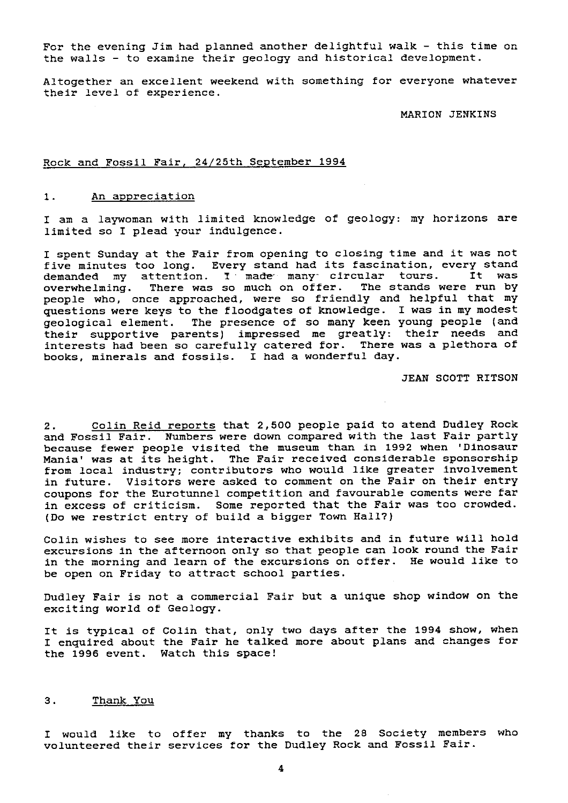For the evening Jim had planned another delightful walk - this time on the walls - to examine their geology and historical development.

Altogether an excellent weekend with something for everyone whatever their level of experience.

MARION JENKINS

# Rock and Fossil Fair, 24/25th September 1994

## 1. An appreciation

I am a laywoman with limited knowledge of geology: my horizons are limited so I plead your indulgence.

I spent Sunday at the Fair from opening to closing time and it was not five minutes too long. Every stand had its fascination, every stand<br>demanded my attention. I made many circular tours. It was demanded my attention. I made many circular tours. overwhelming. There was so much on offer. The stands were run by people who, once approached, were so friendly and helpful that my questions were keys to the floodgates of knowledge. I was in my modest geological element. The presence of so many keen young people (and their supportive parents) impressed me greatly: their needs and interests had been so carefully catered for. There was a plethora of books, minerals and fossils. I had a wonderful day.

JEAN SCOTT RITSON

2. Colin Reid reports that 2,500 people paid to atend Dudley Rock and Fossil Fair. Numbers were down compared with the last Fair partly because fewer people visited the museum than in 1992 when 'Dinosaur Mania' was at its height. The Fair received considerable sponsorship from local industry; contributors who would like greater involvement in future. Visitors were asked to comment on the Fair on their entry coupons for the Eurotunnel competition and favourable coments were far in excess of criticism. Some reported that the Fair was too crowded. (Do we restrict entry of build a bigger Town Hall?)

Colin wishes to see more interactive exhibits *and* in future will hold excursions in the afternoon only so that people can look round the Fair in the morning and learn of the excursions on offer. He would like to be open on Friday to attract school parties.

Dudley Fair is not a commercial Fair but a unique shop window on the exciting world of Geology.

It is typical of Colin that, only two days after the 1994 show, when I enquired about the Fair he talked more about plans and changes for the 1996 event. Watch this space!

#### 3. Thank You

I would like to offer my thanks to the 28 Society members who volunteered their services for the Dudley Rock and Fossil Fair.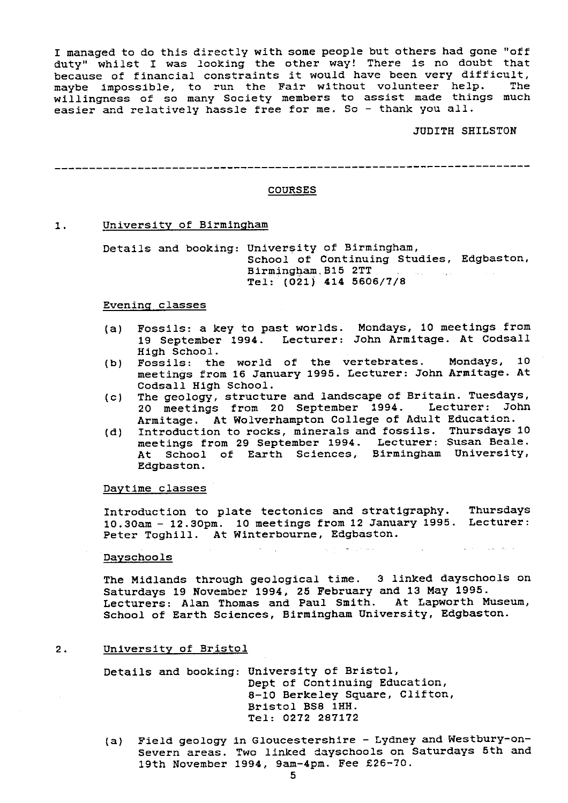I managed to do this directly with some people but others had gone "off duty" whilst I was looking the other way! There is no doubt that because of financial constraints it would have been very difficult, maybe impossible, to run the Fair without volunteer help. The willingness of so many Society members to assist made things much easier and relatively hassle free for me. So - thank you all.

## JUDITH SHILSTON

 $\mathcal{L}^{\mathcal{L}}(\mathbf{x})$  , we can have the contribution of

----------------------------------------------------------------------

## COURSES

## 1. University of Birmingham

Details and booking: University of Birmingham, School of Continuing Studies, Edgbaston, Birming?iam. B15 2TT Tel: (021) 414 5606/7/8

#### Evening classes

- (a) Fossils: a key to past worlds. Mondays, 10 meetings from 19 September 1994. Lecturer: John Armitage. At Codsall *High School.*
- (b) Fossils: the world of the vertebrates. Mondays, 10 meetings from 16 January 1995. Lecturer: John Armitage. At Codsall High School.
- (c) The geology, structure and landscape of Britain. Tuesdays, 20 meetings from 20 September 1994. Lecturer: John Armitage. At Wolverhampton College of Adult Education.
- (d) Introduction to rocks, minerals and fossils. Thursdays 10 meetings from 29 September 1994. Lecturer: Susan Beale. At School of Earth Sciences, Birmingham University, Edgbaston.

#### Daytime classes

Introduction to plate tectonics and stratigraphy. Thursdays 10.30am - 12.30pm. 10 meetings from 12 January 1995. Lecturer: Peter Toghill. At Winterbourne, Edgbaston.

 $\mathcal{A}_2$  ,  $\mathcal{A}_1$  , and  $\mathcal{A}_2$  , and  $\mathcal{A}_3$ 

#### Dayschools

The Midlands through geological time. 3 linked dayschools on Saturdays 19 November 1994, 25 February and 13 May 1995. Lecturers: Alan Thomas and Paul Smith. At Lapworth Museum, School of Earth Sciences, Birmingham University, Edgbaston.

## 2. University of Bristol

Details and booking: University of Bristol, Dept of Continuing Education, 8-10 Berkeley Square, Clifton, Bristol BS8 1HH. Tel: 0272 287172

(a) Field geology in Gloucestershire - Lydney and Westbury-on-Severn areas. Two linked dayschools on Saturdays 5th and 19th November 1994, 9am-4pm. Fee £26--70.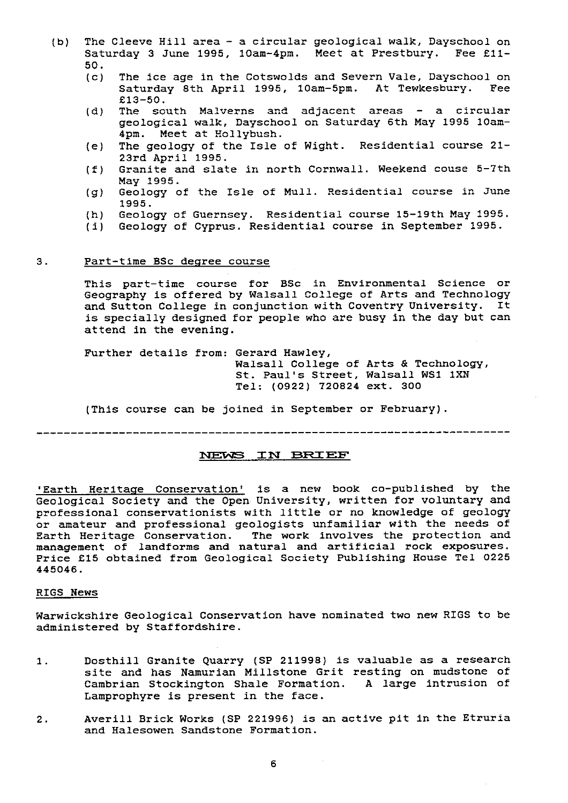- (b) The Cleeve Hill area a circular geological walk, Dayschool on Saturday 3 June 1995, 10am-4pm. Meet at Prestbury. Fee £11-  $50.$ <br>(c)
	- The ice age in the Cotswolds and Severn Vale, Dayschool on Saturday 8th April 1995, 10am-5pm. At Tewkesbury. Fee £13-SO.
	- (d) The south Malverns and adjacent areas a circular geological walk, Dayschool on Saturday 6th May 1995 10am-4pm. Meet at Hollybush.
	- (e) The geology of the Isle of Wight. Residential course 21- 23rd April 1995.
	- (f) Granite and slate in north Cornwall. Weekend cause 5-7th May 1995.
	- (g) Geology of the Isle of Mull. Residential course in June 1995.
	- (h) Geology of Guernsey. Residential course 15-19th May 1995.<br>(i) Geology of Cyprus. Residential course in September 1995.
	- Geology of Cyprus. Residential course in September 1995.

## 3. Part-time BSc degree course

This part-time course for BSc in Environmental Science or Geography is offered by Walsall College of Arts and Technology and Sutton College in conjunction with Coventry University. It is specially designed for people who are busy in the day but can attend in the evening.

Further details from: Gerard Hawley, Walsall College of Arts & Technology, St. Paul's Street, Walsall WS1 IXN Tel: (0922) 720824 ext. 300

(This course can be joined in September or February).

## NEWS IN BRIEF

'Earth Heritage Conservation' is a new book co-published by the Geological Society and the Open University, written for voluntary and professional conservationists with little or no knowledge of geology or amateur and professional geologists unfamiliar with the needs of Earth Heritage Conservation. The work involves the protection and management of landforms and natural and artificial rock exposures. Price £15 obtained from Geological Society Publishing House Tel 0225 445046.

## RIGS News

Warwickshire Geological Conservation have nominated two new RIGS to be administered by Staffordshire.

- 1. Dosthill Granite Quarry (SP 211998) is valuable as a research site and has Namurian Millstone Grit resting on mudstone of Cambrian Stockington Shale Formation. A large intrusion of Lamprophyre is present in the face.
- 2. Averill Brick Works (SP 221996) is an active pit in the Etruria and Halesowen Sandstone Formation.